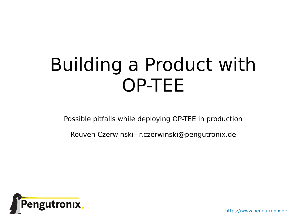# Building a Product with OP-TEE

Possible pitfalls while deploying OP-TEE in production

Rouven Czerwinski– r.czerwinski@pengutronix.de



https://www.pengutronix.de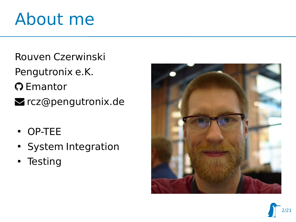### About me

- Rouven Czerwinski
- Pengutronix e.K.
- **O** Emantor
- **z** rcz@pengutronix.de
	- OP-TEE
	- **System Integration**
	- **Testing**



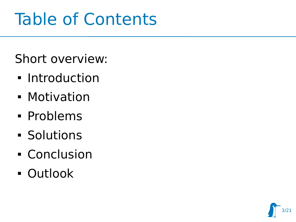### Table of Contents

Short overview:

- **Introduction**
- **Motivation**
- Problems
- **Solutions**
- Conclusion
- Outlook

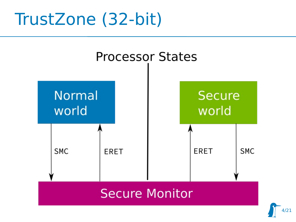### TrustZone (32-bit)



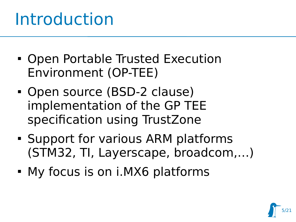### Introduction

- Open Portable Trusted Execution Environment (OP-TEE)
- Open source (BSD-2 clause) implementation of the GP TEE specification using TrustZone
- **Support for various ARM platforms** (STM32, TI, Layerscape, broadcom,…)
- My focus is on i.MX6 platforms

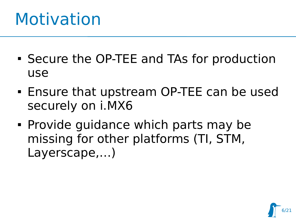### Motivation

- Secure the OP-TEE and TAs for production use
- Ensure that upstream OP-TEE can be used securely on i.MX6
- Provide guidance which parts may be missing for other platforms (TI, STM, Layerscape,…)

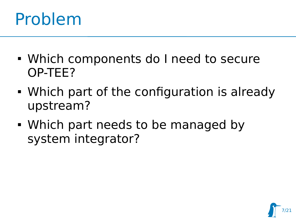### Problem

- Which components do I need to secure OP-TEE?
- Which part of the configuration is already upstream?
- Which part needs to be managed by system integrator?

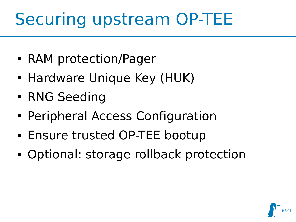### Securing upstream OP-TEE

- RAM protection/Pager
- **Hardware Unique Key (HUK)**
- **RNG Seeding**
- **Peripheral Access Configuration**
- Ensure trusted OP-TEE bootup
- Optional: storage rollback protection

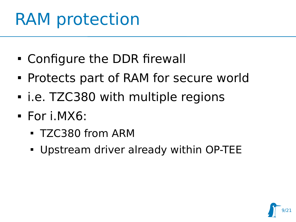### RAM protection

- Configure the DDR firewall
- Protects part of RAM for secure world
- i.e. TZC380 with multiple regions
- For i.MX6:
	- TZC380 from ARM
	- Upstream driver already within OP-TEE

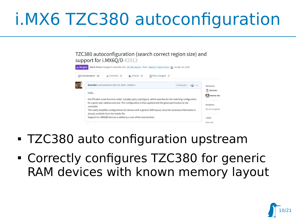### i.MX6 TZC380 autoconfiguration

TZC380 autoconfiguration (search correct region size) and support for i.MX6O/D #2913

| <b>R</b> . Merged | ibech-linaro merged 3 commits into op-TEE:master from Emantor:topic/tzasc @ on Apr 15, 2019                                                                |                                    |  |  |  |  |
|-------------------|------------------------------------------------------------------------------------------------------------------------------------------------------------|------------------------------------|--|--|--|--|
|                   | Conversation 42<br>$\sim$ Commits 3<br>D. Checks 0<br>A Files changed 7                                                                                    |                                    |  |  |  |  |
|                   | Emantor commented on Mar 29, 2019 • edited -<br>Contributor<br>$+(\underline{\bullet}\underline{\bullet})$                                                 | <b>Reviewers</b>                   |  |  |  |  |
|                   | Hello,<br>this PR adds a new function called tzc380_auto_configure which searches for the matching configuration                                           | <b>S</b> jforissier<br>etienne-lms |  |  |  |  |
|                   | for a given start address and size. This configuration is then applied with the given permissions to the<br>controller.                                    | Assignees                          |  |  |  |  |
|                   | This vastly simplifies configurations for devices with a generic RAM layout, since the necessary information is<br>already available from the header file. |                                    |  |  |  |  |
|                   | Support for i.MX6QD devices is added as a user of the new function.                                                                                        | Labels                             |  |  |  |  |
|                   |                                                                                                                                                            | None yet                           |  |  |  |  |

- TZC380 auto configuration upstream
- Correctly configures TZC380 for generic RAM devices with known memory layout

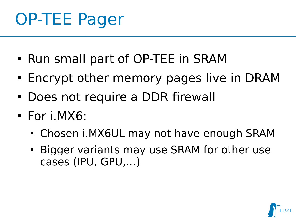### OP-TEE Pager

- Run small part of OP-TEE in SRAM
- **Encrypt other memory pages live in DRAM**
- Does not require a DDR firewall
- For i.MX6:
	- Chosen i.MX6UL may not have enough SRAM
	- Bigger variants may use SRAM for other use cases (IPU, GPU,…)

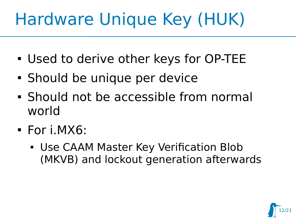### Hardware Unique Key (HUK)

- Used to derive other keys for OP-TEE
- Should be unique per device
- Should not be accessible from normal world
- For i.MX6:
	- Use CAAM Master Key Verification Blob (MKVB) and lockout generation afterwards

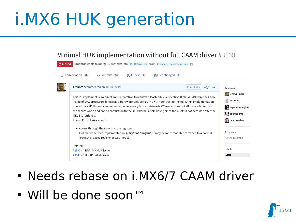### i.MX6 HUK generation

#### Minimal HUK implementation without full CAAM driver #3160

| Conversation (78)          | $\sim$ Commits 10                                                                                                 | D, Checks 0 | 주 Files changed 2 |             |                  |                         |
|----------------------------|-------------------------------------------------------------------------------------------------------------------|-------------|-------------------|-------------|------------------|-------------------------|
|                            | Emantor commented on Jul 31, 2019                                                                                 |             |                   | Contributor | $+(\bullet)$<br> | <b>Reviewers</b>        |
|                            | This PR implements a minimal implementation to retrieve a Master Key Verification Blob (MKVB) from the CAAM       |             |                   |             |                  | jenswi-linaro           |
|                            | inside of i.MX processors for use as a Hardware Unique Key (HUK). In contrast to the full CAAM implementation     |             |                   |             |                  | jforissier<br>F         |
|                            | offered by NXP, this only implements the necessary bits to retrieve MKVB once, does not allocate job rings to     |             |                   |             |                  |                         |
|                            |                                                                                                                   |             |                   |             |                  | <b>A</b> bryanodonoghue |
| MKVB is retrieved.         | the secure world and has no conflicts with the linux kernel CAAM driver, since the CAAM is not accessed after the |             |                   |             |                  | etienne-lms             |
| Things I'm not sure about: |                                                                                                                   |             |                   |             |                  | <b>Tricardosalveti</b>  |
|                            | • Access through the structs to the registers:                                                                    |             |                   |             |                  |                         |
|                            | I followed the style implemented by @bryanodonoghue, it may be more readable to switch to a normal                |             |                   |             |                  | Assignees               |
|                            | #define based register access model                                                                               |             |                   |             |                  | No one assigned         |
| Related:                   |                                                                                                                   |             |                   |             |                  |                         |
|                            | #2892 - initial i.MX HUK issue                                                                                    |             |                   |             |                  | Labels                  |

### Needs rebase on i.MX6/7 CAAM driver

■ Will be done soon™

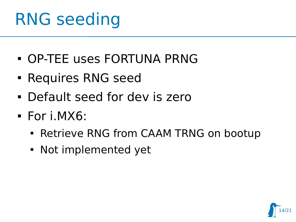### RNG seeding

- OP-TEE uses FORTUNA PRNG
- **Requires RNG seed**
- Default seed for dev is zero
- For i.MX6:
	- **Retrieve RNG from CAAM TRNG on bootup**
	- Not implemented yet

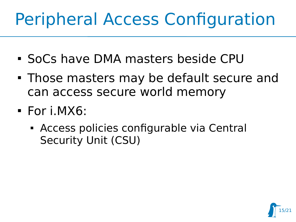## Peripheral Access Configuration

- SoCs have DMA masters beside CPU
- Those masters may be default secure and can access secure world memory
- For i.MX6:
	- Access policies configurable via Central Security Unit (CSU)

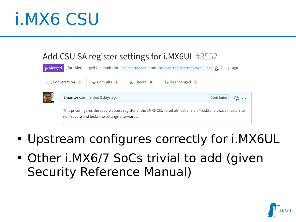### i.MX6 CSU

| Add CSU SA register settings for i.MX6UL #3552 |  |
|------------------------------------------------|--|
|                                                |  |

| <b>A</b> Merged |                                                                                                                                                                  |                                     |             |  | jforissier merged 2 commits into op-TEE:master from Emantor:for-upstream/mx6ul_csu 户 2 days ago |  |
|-----------------|------------------------------------------------------------------------------------------------------------------------------------------------------------------|-------------------------------------|-------------|--|-------------------------------------------------------------------------------------------------|--|
|                 | Conversation 6                                                                                                                                                   | $\sim$ Commits 2                    | p. Checks 0 |  | A Files changed 3                                                                               |  |
|                 |                                                                                                                                                                  | <b>Emantor</b> commented 3 days ago |             |  | Contributor                                                                                     |  |
|                 | This pr configures the secure access register of the i.MX6 CSU to set almost all non-TrustZone aware masters to<br>non-secure and locks the settings afterwards. |                                     |             |  |                                                                                                 |  |

- Upstream configures correctly for i.MX6UL
- Other i.MX6/7 SoCs trivial to add (given Security Reference Manual)

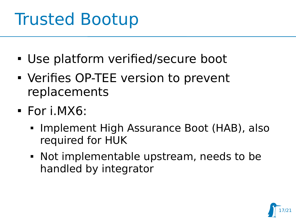### Trusted Bootup

- Use platform verified/secure boot
- Verifies OP-TEE version to prevent replacements
- For i.MX6:
	- **Implement High Assurance Boot (HAB), also** required for HUK
	- Not implementable upstream, needs to be handled by integrator

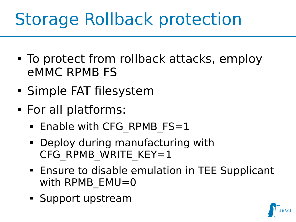### Storage Rollback protection

- To protect from rollback attacks, employ eMMC RPMB FS
- Simple FAT filesystem
- For all platforms:
	- **Enable with CFG RPMB FS=1**
	- Deploy during manufacturing with CFG RPMB WRITE KEY=1
	- **Ensure to disable emulation in TEE Supplicant** with RPMB EMU=0
	- Support upstream

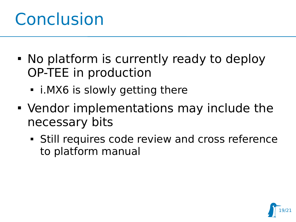### **Conclusion**

- No platform is currently ready to deploy OP-TEE in production
	- i.MX6 is slowly getting there
- Vendor implementations may include the necessary bits
	- Still requires code review and cross reference to platform manual

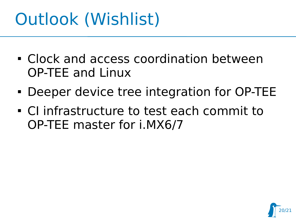### Outlook (Wishlist)

- Clock and access coordination between OP-TEE and Linux
- Deeper device tree integration for OP-TEE
- CI infrastructure to test each commit to OP-TEE master for i.MX6/7